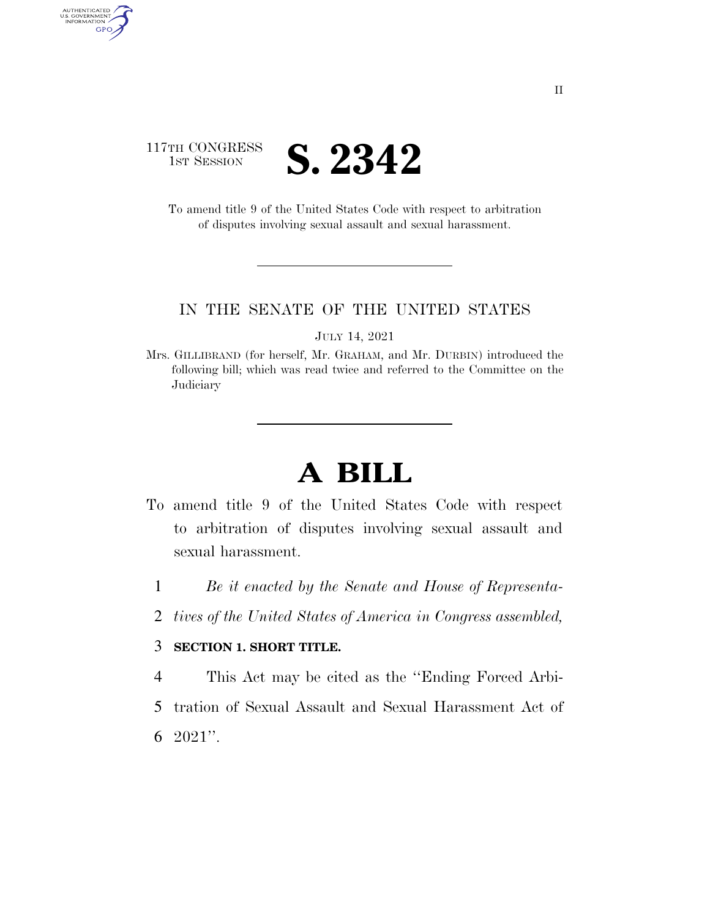

AUTHENTICATED<br>U.S. GOVERNMENT<br>INFORMATION

GPO

To amend title 9 of the United States Code with respect to arbitration of disputes involving sexual assault and sexual harassment.

#### IN THE SENATE OF THE UNITED STATES

JULY 14, 2021

Mrs. GILLIBRAND (for herself, Mr. GRAHAM, and Mr. DURBIN) introduced the following bill; which was read twice and referred to the Committee on the **Judiciary** 

## **A BILL**

- To amend title 9 of the United States Code with respect to arbitration of disputes involving sexual assault and sexual harassment.
	- 1 *Be it enacted by the Senate and House of Representa-*
	- 2 *tives of the United States of America in Congress assembled,*

#### 3 **SECTION 1. SHORT TITLE.**

4 This Act may be cited as the ''Ending Forced Arbi-

- 5 tration of Sexual Assault and Sexual Harassment Act of
- 6 2021''.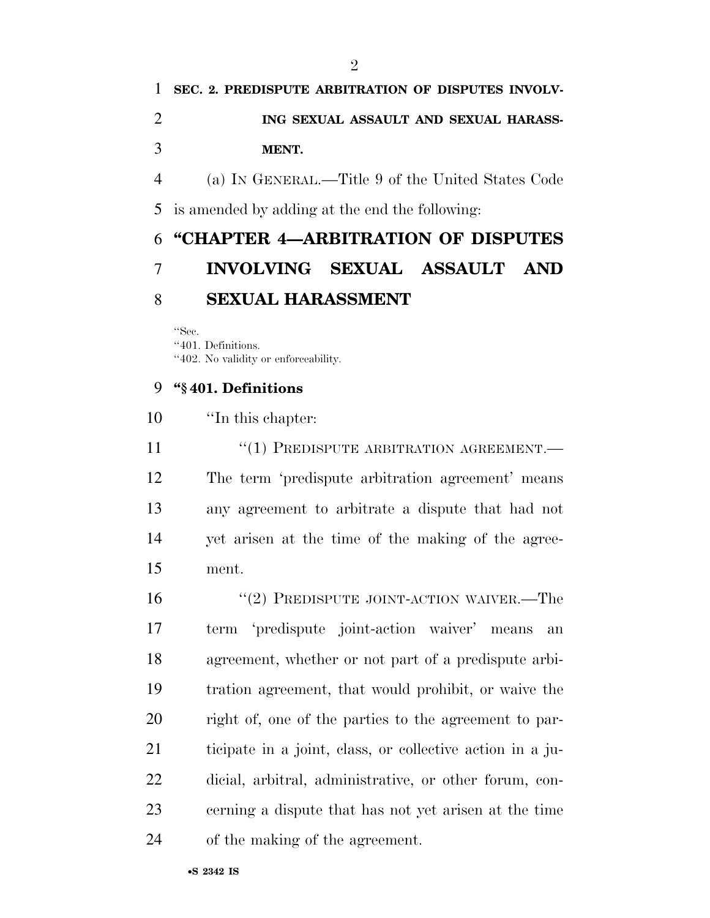# **SEC. 2. PREDISPUTE ARBITRATION OF DISPUTES INVOLV- ING SEXUAL ASSAULT AND SEXUAL HARASS-MENT.**

 (a) IN GENERAL.—Title 9 of the United States Code is amended by adding at the end the following:

### **''CHAPTER 4—ARBITRATION OF DISPUTES INVOLVING SEXUAL ASSAULT AND SEXUAL HARASSMENT**

''Sec.

''401. Definitions.

''402. No validity or enforceability.

### **''§ 401. Definitions**

| 10 | "In this chapter:                                       |
|----|---------------------------------------------------------|
| 11 | $\cdot\cdot\cdot(1)$ PREDISPUTE ARBITRATION AGREEMENT.— |
| 12 | The term 'predispute arbitration agreement' means       |
| 13 | any agreement to arbitrate a dispute that had not       |
| 14 | yet arisen at the time of the making of the agree-      |
| 15 | ment.                                                   |

16 "(2) PREDISPUTE JOINT-ACTION WAIVER.—The term 'predispute joint-action waiver' means an agreement, whether or not part of a predispute arbi- tration agreement, that would prohibit, or waive the right of, one of the parties to the agreement to par- ticipate in a joint, class, or collective action in a ju- dicial, arbitral, administrative, or other forum, con- cerning a dispute that has not yet arisen at the time of the making of the agreement.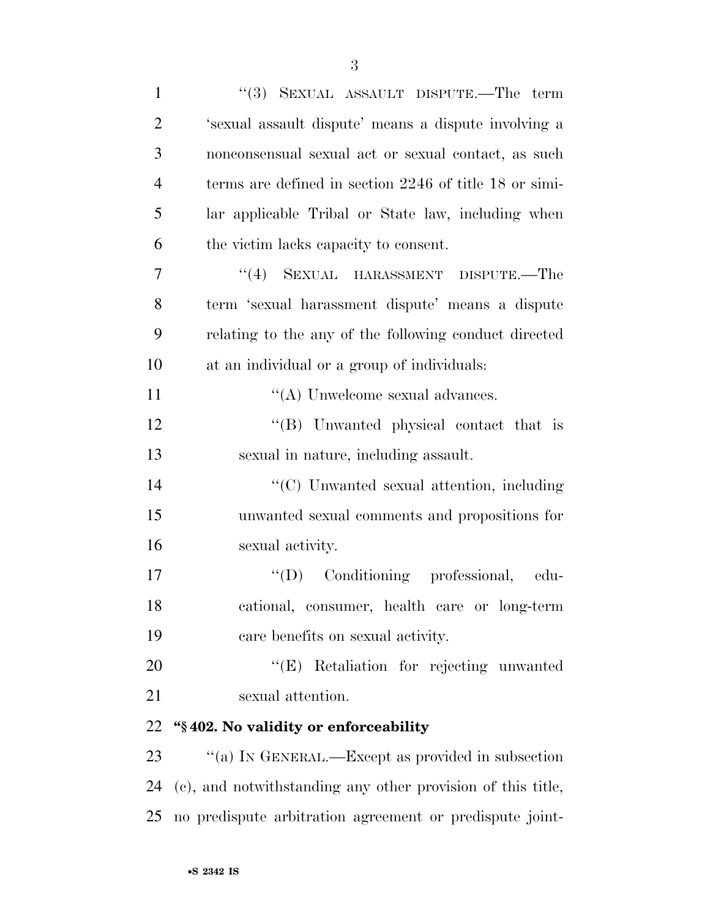| $\mathbf{1}$   | "(3) SEXUAL ASSAULT DISPUTE.—The term                       |
|----------------|-------------------------------------------------------------|
| $\overline{2}$ | 's exual assault dispute' means a dispute involving a       |
| 3              | nonconsensual sexual act or sexual contact, as such         |
| $\overline{4}$ | terms are defined in section 2246 of title 18 or simi-      |
| 5              | lar applicable Tribal or State law, including when          |
| 6              | the victim lacks capacity to consent.                       |
| 7              | "(4) SEXUAL HARASSMENT DISPUTE.—The                         |
| 8              | term 'sexual harassment dispute' means a dispute            |
| 9              | relating to the any of the following conduct directed       |
| 10             | at an individual or a group of individuals:                 |
| 11             | $\lq\lq$ Unwelcome sexual advances.                         |
| 12             | "(B) Unwanted physical contact that is                      |
| 13             | sexual in nature, including assault.                        |
| 14             | "(C) Unwanted sexual attention, including                   |
| 15             | unwanted sexual comments and propositions for               |
| 16             | sexual activity.                                            |
| 17             | "(D) Conditioning professional,<br>edu-                     |
| 18             | cational, consumer, health care or long-term                |
| 19             | care benefits on sexual activity.                           |
| 20             | "(E) Retaliation for rejecting unwanted                     |
| 21             | sexual attention.                                           |
| 22             | "§402. No validity or enforceability                        |
| 23             | "(a) IN GENERAL.—Except as provided in subsection           |
| 24             | (c), and notwithstanding any other provision of this title, |
| 25             | no predispute arbitration agreement or predispute joint-    |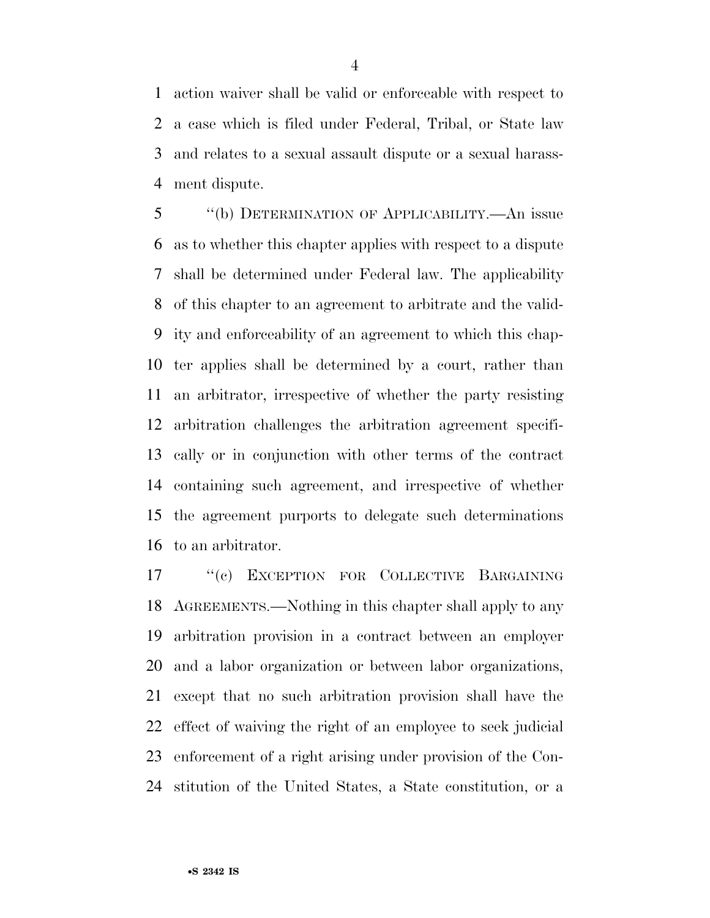action waiver shall be valid or enforceable with respect to a case which is filed under Federal, Tribal, or State law and relates to a sexual assault dispute or a sexual harass-ment dispute.

 ''(b) DETERMINATION OF APPLICABILITY.—An issue as to whether this chapter applies with respect to a dispute shall be determined under Federal law. The applicability of this chapter to an agreement to arbitrate and the valid- ity and enforceability of an agreement to which this chap- ter applies shall be determined by a court, rather than an arbitrator, irrespective of whether the party resisting arbitration challenges the arbitration agreement specifi- cally or in conjunction with other terms of the contract containing such agreement, and irrespective of whether the agreement purports to delegate such determinations to an arbitrator.

 ''(c) EXCEPTION FOR COLLECTIVE BARGAINING AGREEMENTS.—Nothing in this chapter shall apply to any arbitration provision in a contract between an employer and a labor organization or between labor organizations, except that no such arbitration provision shall have the effect of waiving the right of an employee to seek judicial enforcement of a right arising under provision of the Con-stitution of the United States, a State constitution, or a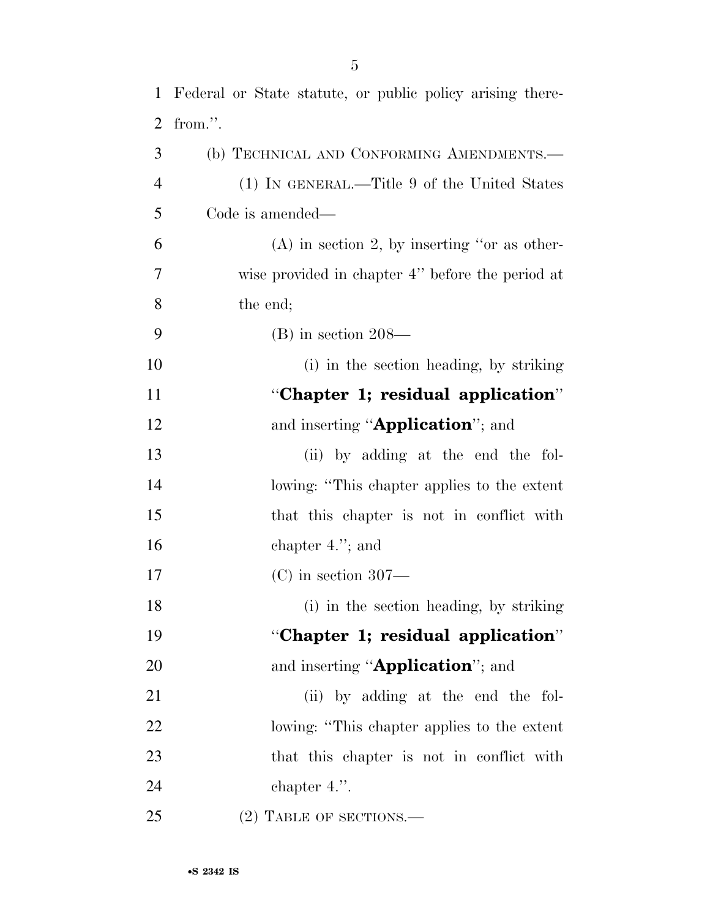Federal or State statute, or public policy arising there- from.''. (b) TECHNICAL AND CONFORMING AMENDMENTS.—

 (1) IN GENERAL.—Title 9 of the United States Code is amended—

 (A) in section 2, by inserting ''or as other- wise provided in chapter 4'' before the period at the end;

- (B) in section 208—
- (i) in the section heading, by striking ''**Chapter 1; residual application**'' 12 and inserting "**Application**"; and (ii) by adding at the end the fol-lowing: ''This chapter applies to the extent
- that this chapter is not in conflict with chapter 4.''; and
- (C) in section 307—
- (i) in the section heading, by striking ''**Chapter 1; residual application**''
- 20 and inserting "**Application**"; and
- 21 (ii) by adding at the end the fol- lowing: ''This chapter applies to the extent that this chapter is not in conflict with chapter 4.''.
- 25 (2) TABLE OF SECTIONS.—